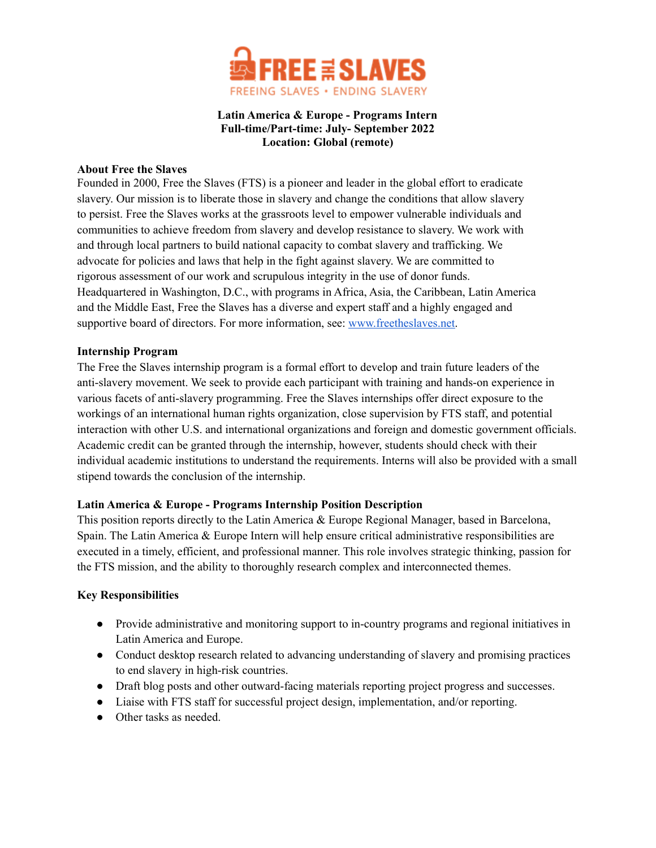

# **Latin America & Europe - Programs Intern Full-time/Part-time: July- September 2022 Location: Global (remote)**

#### **About Free the Slaves**

Founded in 2000, Free the Slaves (FTS) is a pioneer and leader in the global effort to eradicate slavery. Our mission is to liberate those in slavery and change the conditions that allow slavery to persist. Free the Slaves works at the grassroots level to empower vulnerable individuals and communities to achieve freedom from slavery and develop resistance to slavery. We work with and through local partners to build national capacity to combat slavery and trafficking. We advocate for policies and laws that help in the fight against slavery. We are committed to rigorous assessment of our work and scrupulous integrity in the use of donor funds. Headquartered in Washington, D.C., with programs in Africa, Asia, the Caribbean, Latin America and the Middle East, Free the Slaves has a diverse and expert staff and a highly engaged and supportive board of directors. For more information, see: [www.freetheslaves.net.](http://www.freetheslaves.net)

#### **Internship Program**

The Free the Slaves internship program is a formal effort to develop and train future leaders of the anti-slavery movement. We seek to provide each participant with training and hands-on experience in various facets of anti-slavery programming. Free the Slaves internships offer direct exposure to the workings of an international human rights organization, close supervision by FTS staff, and potential interaction with other U.S. and international organizations and foreign and domestic government officials. Academic credit can be granted through the internship, however, students should check with their individual academic institutions to understand the requirements. Interns will also be provided with a small stipend towards the conclusion of the internship.

## **Latin America & Europe - Programs Internship Position Description**

This position reports directly to the Latin America & Europe Regional Manager, based in Barcelona, Spain. The Latin America & Europe Intern will help ensure critical administrative responsibilities are executed in a timely, efficient, and professional manner. This role involves strategic thinking, passion for the FTS mission, and the ability to thoroughly research complex and interconnected themes.

## **Key Responsibilities**

- Provide administrative and monitoring support to in-country programs and regional initiatives in Latin America and Europe.
- Conduct desktop research related to advancing understanding of slavery and promising practices to end slavery in high-risk countries.
- Draft blog posts and other outward-facing materials reporting project progress and successes.
- Liaise with FTS staff for successful project design, implementation, and/or reporting.
- Other tasks as needed.